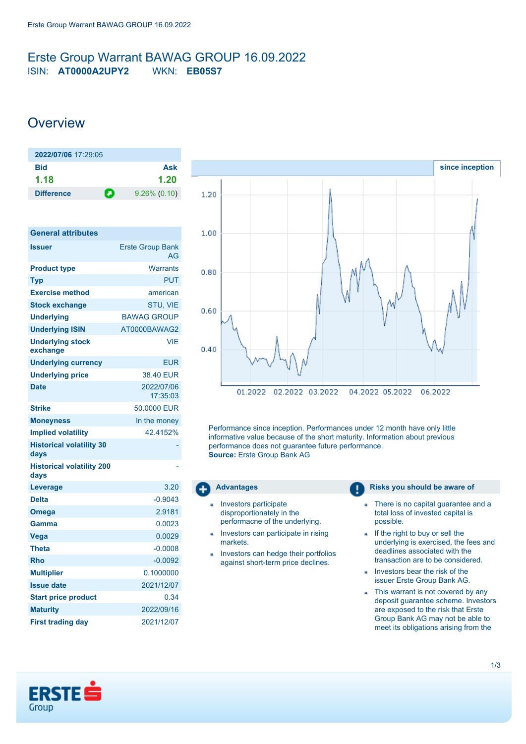## <span id="page-0-0"></span>Erste Group Warrant BAWAG GROUP 16.09.2022 ISIN: **AT0000A2UPY2** WKN: **EB05S7**

# **Overview**

| 2022/07/06 17:29:05 |                      |
|---------------------|----------------------|
| Bid                 | Ask                  |
| 1.18                | 1.20                 |
| <b>Difference</b>   | О<br>$9.26\%$ (0.10) |

| <b>General attributes</b>                |                               |  |
|------------------------------------------|-------------------------------|--|
| Issuer                                   | <b>Erste Group Bank</b><br>AG |  |
| <b>Product type</b>                      | Warrants                      |  |
| Typ                                      | <b>PUT</b>                    |  |
| <b>Exercise method</b>                   | american                      |  |
| <b>Stock exchange</b>                    | <b>STU, VIE</b>               |  |
| <b>Underlying</b>                        | <b>BAWAG GROUP</b>            |  |
| <b>Underlying ISIN</b>                   | AT0000BAWAG2                  |  |
| <b>Underlying stock</b><br>exchange      | VIF                           |  |
| <b>Underlying currency</b>               | <b>EUR</b>                    |  |
| <b>Underlying price</b>                  | 38.40 FUR                     |  |
| <b>Date</b>                              | 2022/07/06<br>17:35:03        |  |
| <b>Strike</b>                            | 50,0000 EUR                   |  |
| <b>Moneyness</b>                         | In the money                  |  |
| <b>Implied volatility</b>                | 42.4152%                      |  |
| <b>Historical volatility 30</b><br>days  |                               |  |
| <b>Historical volatility 200</b><br>days |                               |  |
| Leverage                                 | 3.20                          |  |
| <b>Delta</b>                             | $-0.9043$                     |  |
| Omega                                    | 2.9181                        |  |
| Gamma                                    | 0.0023                        |  |
| Vega                                     | 0.0029                        |  |
| <b>Theta</b>                             | $-0.0008$                     |  |
| <b>Rho</b>                               | $-0.0092$                     |  |
| <b>Multiplier</b>                        | 0.1000000                     |  |
| <b>Issue date</b>                        | 2021/12/07                    |  |
| <b>Start price product</b>               | 0.34                          |  |
| <b>Maturity</b>                          | 2022/09/16                    |  |
| <b>First trading day</b>                 | 2021/12/07                    |  |



Performance since inception. Performances under 12 month have only little informative value because of the short maturity. Information about previous performance does not guarantee future performance. **Source:** Erste Group Bank AG



- Investors participate disproportionately in the performacne of the underlying.
- Investors can participate in rising markets.
- Investors can hedge their portfolios × against short-term price declines.

#### **Advantages Risks you should be aware of Risks** you should be aware of

- There is no capital guarantee and a × total loss of invested capital is possible.
- If the right to buy or sell the a. underlying is exercised, the fees and deadlines associated with the transaction are to be considered.
- Investors bear the risk of the issuer Erste Group Bank AG.
- This warrant is not covered by any deposit guarantee scheme. Investors are exposed to the risk that Erste Group Bank AG may not be able to meet its obligations arising from the

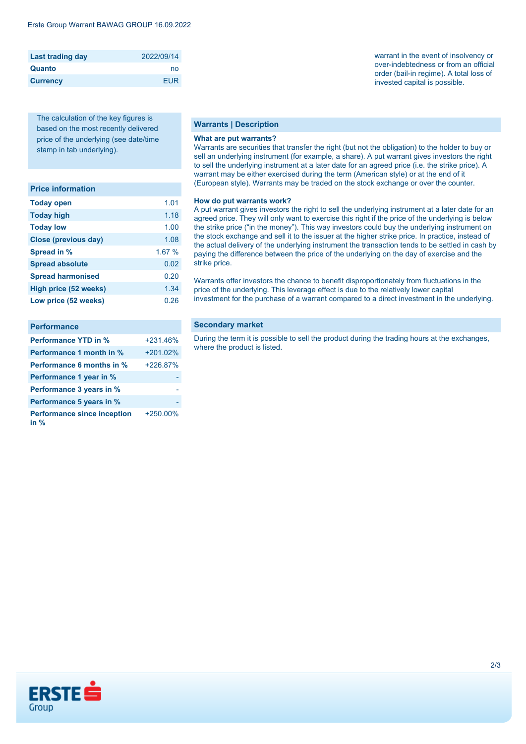| <b>Last trading day</b> | 2022/09/14 |
|-------------------------|------------|
| Quanto                  | no         |
| <b>Currency</b>         | <b>FUR</b> |

The calculation of the key figures is based on the most recently delivered price of the underlying (see date/time stamp in tab underlying).

| <b>Price information</b> |  |
|--------------------------|--|
|                          |  |

| <b>Today open</b>           | 1.01  |
|-----------------------------|-------|
| <b>Today high</b>           | 1.18  |
| <b>Today low</b>            | 1.00  |
| <b>Close (previous day)</b> | 1.08  |
| Spread in %                 | 1.67% |
| <b>Spread absolute</b>      | 0.02  |
| <b>Spread harmonised</b>    | 0.20  |
| High price (52 weeks)       | 1.34  |
| Low price (52 weeks)        | 0.26  |

| <b>Performance</b>                           |            |
|----------------------------------------------|------------|
| <b>Performance YTD in %</b>                  | $+231.46%$ |
| Performance 1 month in %                     | $+201.02%$ |
| Performance 6 months in %                    | +226.87%   |
| Performance 1 year in %                      |            |
| Performance 3 years in %                     |            |
| Performance 5 years in %                     |            |
| <b>Performance since inception</b><br>in $%$ | +250.00%   |

### **Warrants | Description**

#### **What are put warrants?**

Warrants are securities that transfer the right (but not the obligation) to the holder to buy or sell an underlying instrument (for example, a share). A put warrant gives investors the right to sell the underlying instrument at a later date for an agreed price (i.e. the strike price). A warrant may be either exercised during the term (American style) or at the end of it (European style). Warrants may be traded on the stock exchange or over the counter.

#### **How do put warrants work?**

A put warrant gives investors the right to sell the underlying instrument at a later date for an agreed price. They will only want to exercise this right if the price of the underlying is below the strike price ("in the money"). This way investors could buy the underlying instrument on the stock exchange and sell it to the issuer at the higher strike price. In practice, instead of the actual delivery of the underlying instrument the transaction tends to be settled in cash by paying the difference between the price of the underlying on the day of exercise and the strike price.

Warrants offer investors the chance to benefit disproportionately from fluctuations in the price of the underlying. This leverage effect is due to the relatively lower capital investment for the purchase of a warrant compared to a direct investment in the underlying.

#### **Secondary market**

During the term it is possible to sell the product during the trading hours at the exchanges, where the product is listed.



warrant in the event of insolvency or over-indebtedness or from an official order (bail-in regime). A total loss of invested capital is possible.